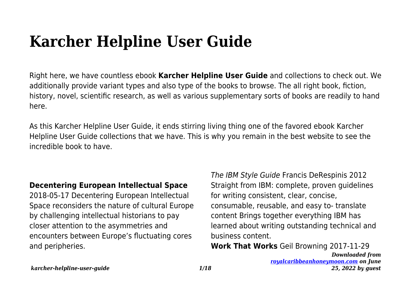# **Karcher Helpline User Guide**

Right here, we have countless ebook **Karcher Helpline User Guide** and collections to check out. We additionally provide variant types and also type of the books to browse. The all right book, fiction, history, novel, scientific research, as well as various supplementary sorts of books are readily to hand here.

As this Karcher Helpline User Guide, it ends stirring living thing one of the favored ebook Karcher Helpline User Guide collections that we have. This is why you remain in the best website to see the incredible book to have.

## **Decentering European Intellectual Space**

2018-05-17 Decentering European Intellectual Space reconsiders the nature of cultural Europe by challenging intellectual historians to pay closer attention to the asymmetries and encounters between Europe's fluctuating cores and peripheries.

The IBM Style Guide Francis DeRespinis 2012 Straight from IBM: complete, proven guidelines for writing consistent, clear, concise, consumable, reusable, and easy to- translate content Brings together everything IBM has learned about writing outstanding technical and business content.

**Work That Works** Geil Browning 2017-11-29

*Downloaded from [royalcaribbeanhoneymoon.com](http://royalcaribbeanhoneymoon.com) on June 25, 2022 by guest*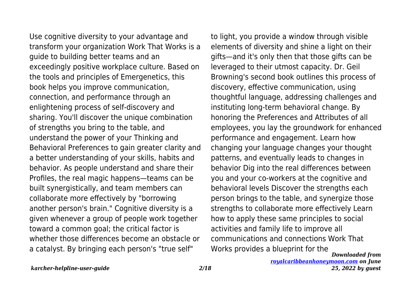Use cognitive diversity to your advantage and transform your organization Work That Works is a guide to building better teams and an exceedingly positive workplace culture. Based on the tools and principles of Emergenetics, this book helps you improve communication, connection, and performance through an enlightening process of self-discovery and sharing. You'll discover the unique combination of strengths you bring to the table, and understand the power of your Thinking and Behavioral Preferences to gain greater clarity and a better understanding of your skills, habits and behavior. As people understand and share their Profiles, the real magic happens—teams can be built synergistically, and team members can collaborate more effectively by "borrowing another person's brain." Cognitive diversity is a given whenever a group of people work together toward a common goal; the critical factor is whether those differences become an obstacle or a catalyst. By bringing each person's "true self"

*Downloaded from* to light, you provide a window through visible elements of diversity and shine a light on their gifts—and it's only then that those gifts can be leveraged to their utmost capacity. Dr. Geil Browning's second book outlines this process of discovery, effective communication, using thoughtful language, addressing challenges and instituting long-term behavioral change. By honoring the Preferences and Attributes of all employees, you lay the groundwork for enhanced performance and engagement. Learn how changing your language changes your thought patterns, and eventually leads to changes in behavior Dig into the real differences between you and your co-workers at the cognitive and behavioral levels Discover the strengths each person brings to the table, and synergize those strengths to collaborate more effectively Learn how to apply these same principles to social activities and family life to improve all communications and connections Work That Works provides a blueprint for the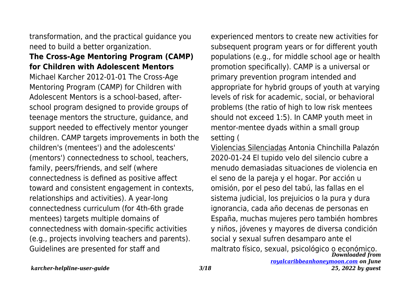transformation, and the practical guidance you need to build a better organization.

#### **The Cross-Age Mentoring Program (CAMP) for Children with Adolescent Mentors**

Michael Karcher 2012-01-01 The Cross-Age Mentoring Program (CAMP) for Children with Adolescent Mentors is a school-based, afterschool program designed to provide groups of teenage mentors the structure, guidance, and support needed to effectively mentor younger children. CAMP targets improvements in both the children's (mentees') and the adolescents' (mentors') connectedness to school, teachers, family, peers/friends, and self (where connectedness is defined as positive affect toward and consistent engagement in contexts, relationships and activities). A year-long connectedness curriculum (for 4th-6th grade mentees) targets multiple domains of connectedness with domain-specific activities (e.g., projects involving teachers and parents). Guidelines are presented for staff and

experienced mentors to create new activities for subsequent program years or for different youth populations (e.g., for middle school age or health promotion specifically). CAMP is a universal or primary prevention program intended and appropriate for hybrid groups of youth at varying levels of risk for academic, social, or behavioral problems (the ratio of high to low risk mentees should not exceed 1:5). In CAMP youth meet in mentor-mentee dyads within a small group setting (

*Downloaded from* maltrato físico, sexual, psicológico o económico.Violencias Silenciadas Antonia Chinchilla Palazón 2020-01-24 El tupido velo del silencio cubre a menudo demasiadas situaciones de violencia en el seno de la pareja y el hogar. Por acción u omisión, por el peso del tabú, las fallas en el sistema judicial, los prejuicios o la pura y dura ignorancia, cada año decenas de personas en España, muchas mujeres pero también hombres y niños, jóvenes y mayores de diversa condición social y sexual sufren desamparo ante el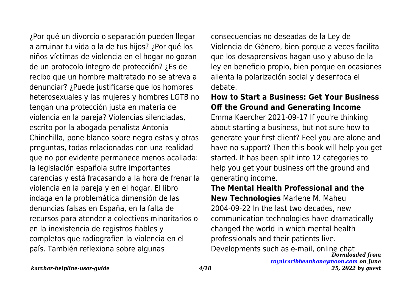¿Por qué un divorcio o separación pueden llegar a arruinar tu vida o la de tus hijos? ¿Por qué los niños víctimas de violencia en el hogar no gozan de un protocolo íntegro de protección? ¿Es de recibo que un hombre maltratado no se atreva a denunciar? ¿Puede justificarse que los hombres heterosexuales y las mujeres y hombres LGTB no tengan una protección justa en materia de violencia en la pareja? Violencias silenciadas, escrito por la abogada penalista Antonia Chinchilla, pone blanco sobre negro estas y otras preguntas, todas relacionadas con una realidad que no por evidente permanece menos acallada: la legislación española sufre importantes carencias y está fracasando a la hora de frenar la violencia en la pareja y en el hogar. El libro indaga en la problemática dimensión de las denuncias falsas en España, en la falta de recursos para atender a colectivos minoritarios o en la inexistencia de registros fiables y completos que radiografíen la violencia en el país. También reflexiona sobre algunas

consecuencias no deseadas de la Ley de Violencia de Género, bien porque a veces facilita que los desaprensivos hagan uso y abuso de la ley en beneficio propio, bien porque en ocasiones alienta la polarización social y desenfoca el debate.

#### **How to Start a Business: Get Your Business Off the Ground and Generating Income**

Emma Kaercher 2021-09-17 If you're thinking about starting a business, but not sure how to generate your first client? Feel you are alone and have no support? Then this book will help you get started. It has been split into 12 categories to help you get your business off the ground and generating income.

## *Downloaded from* **The Mental Health Professional and the New Technologies** Marlene M. Maheu 2004-09-22 In the last two decades, new communication technologies have dramatically changed the world in which mental health professionals and their patients live. Developments such as e-mail, online chat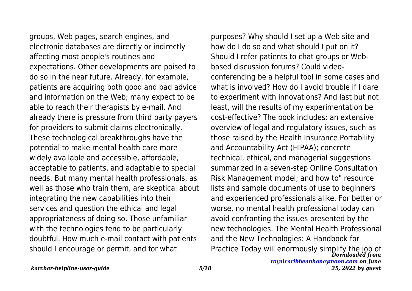groups, Web pages, search engines, and electronic databases are directly or indirectly affecting most people's routines and expectations. Other developments are poised to do so in the near future. Already, for example, patients are acquiring both good and bad advice and information on the Web; many expect to be able to reach their therapists by e-mail. And already there is pressure from third party payers for providers to submit claims electronically. These technological breakthroughs have the potential to make mental health care more widely available and accessible, affordable, acceptable to patients, and adaptable to special needs. But many mental health professionals, as well as those who train them, are skeptical about integrating the new capabilities into their services and question the ethical and legal appropriateness of doing so. Those unfamiliar with the technologies tend to be particularly doubtful. How much e-mail contact with patients should I encourage or permit, and for what

*Downloaded from* Practice Today will enormously simplify the job ofpurposes? Why should I set up a Web site and how do I do so and what should I put on it? Should I refer patients to chat groups or Webbased discussion forums? Could videoconferencing be a helpful tool in some cases and what is involved? How do I avoid trouble if I dare to experiment with innovations? And last but not least, will the results of my experimentation be cost-effective? The book includes: an extensive overview of legal and regulatory issues, such as those raised by the Health Insurance Portability and Accountability Act (HIPAA); concrete technical, ethical, and managerial suggestions summarized in a seven-step Online Consultation Risk Management model; and how to" resource lists and sample documents of use to beginners and experienced professionals alike. For better or worse, no mental health professional today can avoid confronting the issues presented by the new technologies. The Mental Health Professional and the New Technologies: A Handbook for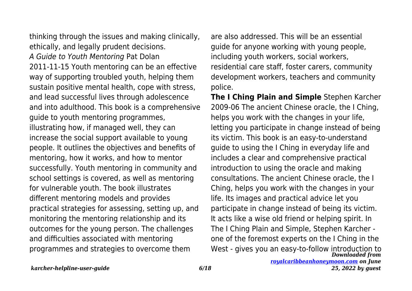thinking through the issues and making clinically, ethically, and legally prudent decisions. A Guide to Youth Mentoring Pat Dolan 2011-11-15 Youth mentoring can be an effective way of supporting troubled youth, helping them sustain positive mental health, cope with stress, and lead successful lives through adolescence and into adulthood. This book is a comprehensive guide to youth mentoring programmes, illustrating how, if managed well, they can increase the social support available to young people. It outlines the objectives and benefits of mentoring, how it works, and how to mentor successfully. Youth mentoring in community and school settings is covered, as well as mentoring for vulnerable youth. The book illustrates different mentoring models and provides practical strategies for assessing, setting up, and monitoring the mentoring relationship and its outcomes for the young person. The challenges and difficulties associated with mentoring programmes and strategies to overcome them

are also addressed. This will be an essential guide for anyone working with young people, including youth workers, social workers, residential care staff, foster carers, community development workers, teachers and community police.

*Downloaded from* **The I Ching Plain and Simple** Stephen Karcher 2009-06 The ancient Chinese oracle, the I Ching, helps you work with the changes in your life, letting you participate in change instead of being its victim. This book is an easy-to-understand guide to using the I Ching in everyday life and includes a clear and comprehensive practical introduction to using the oracle and making consultations. The ancient Chinese oracle, the I Ching, helps you work with the changes in your life. Its images and practical advice let you participate in change instead of being its victim. It acts like a wise old friend or helping spirit. In The I Ching Plain and Simple, Stephen Karcher one of the foremost experts on the I Ching in the West - gives you an easy-to-follow introduction to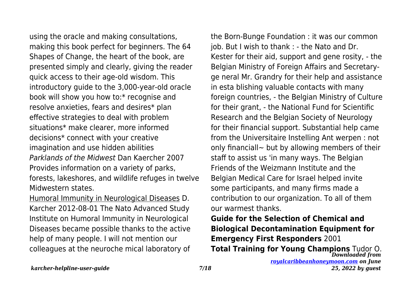using the oracle and making consultations, making this book perfect for beginners. The 64 Shapes of Change, the heart of the book, are presented simply and clearly, giving the reader quick access to their age-old wisdom. This introductory guide to the 3,000-year-old oracle book will show you how to:\* recognise and resolve anxieties, fears and desires\* plan effective strategies to deal with problem situations\* make clearer, more informed decisions\* connect with your creative imagination and use hidden abilities Parklands of the Midwest Dan Kaercher 2007 Provides information on a variety of parks, forests, lakeshores, and wildlife refuges in twelve Midwestern states.

Humoral Immunity in Neurological Diseases D. Karcher 2012-08-01 The Nato Advanced Study Institute on Humoral Immunity in Neurological Diseases became possible thanks to the active help of many people. I will not mention our colleagues at the neuroche mical laboratory of the Born-Bunge Foundation : it was our common job. But I wish to thank : - the Nato and Dr. Kester for their aid, support and gene rosity, - the Belgian Ministry of Foreign Affairs and Secretaryge neral Mr. Grandry for their help and assistance in esta blishing valuable contacts with many foreign countries, - the Belgian Ministry of Culture for their grant, - the National Fund for Scientific Research and the Belgian Society of Neurology for their financial support. Substantial help came from the Universitaire Instelling Ant werpen : not only financiall $\sim$  but by allowing members of their staff to assist us 'in many ways. The Belgian Friends of the Weizmann Institute and the Belgian Medical Care for Israel helped invite some participants, and many firms made a contribution to our organization. To all of them our warmest thanks.

**Guide for the Selection of Chemical and Biological Decontamination Equipment for Emergency First Responders** 2001

*Downloaded from [royalcaribbeanhoneymoon.com](http://royalcaribbeanhoneymoon.com) on June* **Total Training for Young Champions** Tudor O.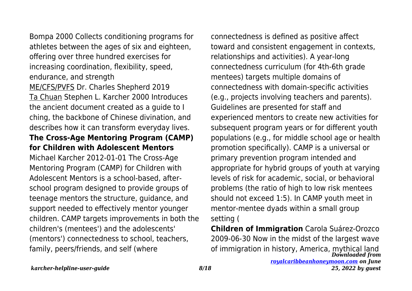Bompa 2000 Collects conditioning programs for athletes between the ages of six and eighteen, offering over three hundred exercises for increasing coordination, flexibility, speed, endurance, and strength ME/CFS/PVFS Dr. Charles Shepherd 2019 Ta Chuan Stephen L. Karcher 2000 Introduces the ancient document created as a guide to I ching, the backbone of Chinese divination, and describes how it can transform everyday lives. **The Cross-Age Mentoring Program (CAMP) for Children with Adolescent Mentors** Michael Karcher 2012-01-01 The Cross-Age Mentoring Program (CAMP) for Children with Adolescent Mentors is a school-based, afterschool program designed to provide groups of teenage mentors the structure, guidance, and support needed to effectively mentor younger children. CAMP targets improvements in both the children's (mentees') and the adolescents' (mentors') connectedness to school, teachers, family, peers/friends, and self (where

connectedness is defined as positive affect toward and consistent engagement in contexts, relationships and activities). A year-long connectedness curriculum (for 4th-6th grade mentees) targets multiple domains of connectedness with domain-specific activities (e.g., projects involving teachers and parents). Guidelines are presented for staff and experienced mentors to create new activities for subsequent program years or for different youth populations (e.g., for middle school age or health promotion specifically). CAMP is a universal or primary prevention program intended and appropriate for hybrid groups of youth at varying levels of risk for academic, social, or behavioral problems (the ratio of high to low risk mentees should not exceed 1:5). In CAMP youth meet in mentor-mentee dyads within a small group setting (

*Downloaded from* of immigration in history, America, mythical land**Children of Immigration** Carola Suárez-Orozco 2009-06-30 Now in the midst of the largest wave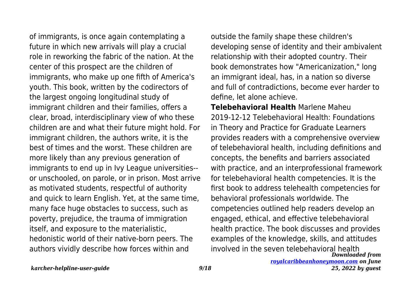of immigrants, is once again contemplating a future in which new arrivals will play a crucial role in reworking the fabric of the nation. At the center of this prospect are the children of immigrants, who make up one fifth of America's youth. This book, written by the codirectors of the largest ongoing longitudinal study of immigrant children and their families, offers a clear, broad, interdisciplinary view of who these children are and what their future might hold. For immigrant children, the authors write, it is the best of times and the worst. These children are more likely than any previous generation of immigrants to end up in Ivy League universities- or unschooled, on parole, or in prison. Most arrive as motivated students, respectful of authority and quick to learn English. Yet, at the same time, many face huge obstacles to success, such as poverty, prejudice, the trauma of immigration itself, and exposure to the materialistic, hedonistic world of their native-born peers. The authors vividly describe how forces within and

outside the family shape these children's developing sense of identity and their ambivalent relationship with their adopted country. Their book demonstrates how "Americanization," long an immigrant ideal, has, in a nation so diverse and full of contradictions, become ever harder to define, let alone achieve.

*Downloaded from* **Telebehavioral Health** Marlene Maheu 2019-12-12 Telebehavioral Health: Foundations in Theory and Practice for Graduate Learners provides readers with a comprehensive overview of telebehavioral health, including definitions and concepts, the benefits and barriers associated with practice, and an interprofessional framework for telebehavioral health competencies. It is the first book to address telehealth competencies for behavioral professionals worldwide. The competencies outlined help readers develop an engaged, ethical, and effective telebehavioral health practice. The book discusses and provides examples of the knowledge, skills, and attitudes involved in the seven telebehavioral health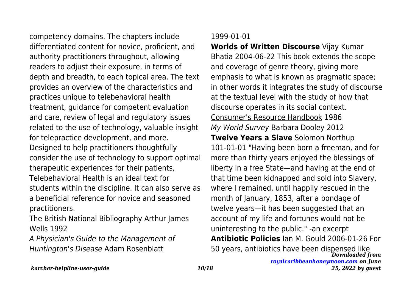competency domains. The chapters include differentiated content for novice, proficient, and authority practitioners throughout, allowing readers to adjust their exposure, in terms of depth and breadth, to each topical area. The text provides an overview of the characteristics and practices unique to telebehavioral health treatment, guidance for competent evaluation and care, review of legal and regulatory issues related to the use of technology, valuable insight for telepractice development, and more. Designed to help practitioners thoughtfully consider the use of technology to support optimal therapeutic experiences for their patients, Telebehavioral Health is an ideal text for students within the discipline. It can also serve as a beneficial reference for novice and seasoned practitioners.

The British National Bibliography Arthur James Wells 1992

A Physician's Guide to the Management of Huntington's Disease Adam Rosenblatt

#### 1999-01-01

*Downloaded from* **Worlds of Written Discourse** Vijay Kumar Bhatia 2004-06-22 This book extends the scope and coverage of genre theory, giving more emphasis to what is known as pragmatic space; in other words it integrates the study of discourse at the textual level with the study of how that discourse operates in its social context. Consumer's Resource Handbook 1986 My World Survey Barbara Dooley 2012 **Twelve Years a Slave** Solomon Northup 101-01-01 "Having been born a freeman, and for more than thirty years enjoyed the blessings of liberty in a free State—and having at the end of that time been kidnapped and sold into Slavery, where I remained, until happily rescued in the month of January, 1853, after a bondage of twelve years—it has been suggested that an account of my life and fortunes would not be uninteresting to the public." -an excerpt **Antibiotic Policies** Ian M. Gould 2006-01-26 For 50 years, antibiotics have been dispensed like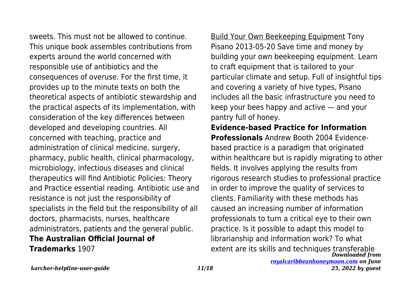sweets. This must not be allowed to continue. This unique book assembles contributions from experts around the world concerned with responsible use of antibiotics and the consequences of overuse. For the first time, it provides up to the minute texts on both the theoretical aspects of antibiotic stewardship and the practical aspects of its implementation, with consideration of the key differences between developed and developing countries. All concerned with teaching, practice and administration of clinical medicine, surgery, pharmacy, public health, clinical pharmacology, microbiology, infectious diseases and clinical therapeutics will find Antibiotic Policies: Theory and Practice essential reading. Antibiotic use and resistance is not just the responsibility of specialists in the field but the responsibility of all doctors, pharmacists, nurses, healthcare administrators, patients and the general public. **The Australian Official Journal of Trademarks** 1907

Build Your Own Beekeeping Equipment Tony Pisano 2013-05-20 Save time and money by building your own beekeeping equipment. Learn to craft equipment that is tailored to your particular climate and setup. Full of insightful tips and covering a variety of hive types, Pisano includes all the basic infrastructure you need to keep your bees happy and active — and your pantry full of honey.

*Downloaded from* **Evidence-based Practice for Information Professionals** Andrew Booth 2004 Evidencebased practice is a paradigm that originated within healthcare but is rapidly migrating to other fields. It involves applying the results from rigorous research studies to professional practice in order to improve the quality of services to clients. Familiarity with these methods has caused an increasing number of information professionals to turn a critical eye to their own practice. Is it possible to adapt this model to librarianship and information work? To what extent are its skills and techniques transferable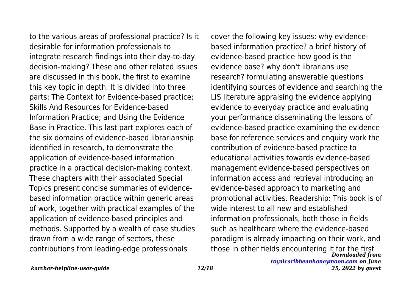to the various areas of professional practice? Is it desirable for information professionals to integrate research findings into their day-to-day decision-making? These and other related issues are discussed in this book, the first to examine this key topic in depth. It is divided into three parts: The Context for Evidence-based practice; Skills And Resources for Evidence-based Information Practice; and Using the Evidence Base in Practice. This last part explores each of the six domains of evidence-based librarianship identified in research, to demonstrate the application of evidence-based information practice in a practical decision-making context. These chapters with their associated Special Topics present concise summaries of evidencebased information practice within generic areas of work, together with practical examples of the application of evidence-based principles and methods. Supported by a wealth of case studies drawn from a wide range of sectors, these contributions from leading-edge professionals

*Downloaded from* cover the following key issues: why evidencebased information practice? a brief history of evidence-based practice how good is the evidence base? why don't librarians use research? formulating answerable questions identifying sources of evidence and searching the LIS literature appraising the evidence applying evidence to everyday practice and evaluating your performance disseminating the lessons of evidence-based practice examining the evidence base for reference services and enquiry work the contribution of evidence-based practice to educational activities towards evidence-based management evidence-based perspectives on information access and retrieval introducing an evidence-based approach to marketing and promotional activities. Readership: This book is of wide interest to all new and established information professionals, both those in fields such as healthcare where the evidence-based paradigm is already impacting on their work, and those in other fields encountering it for the first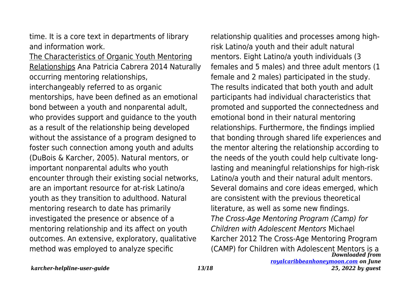time. It is a core text in departments of library and information work.

The Characteristics of Organic Youth Mentoring Relationships Ana Patricia Cabrera 2014 Naturally occurring mentoring relationships, interchangeably referred to as organic mentorships, have been defined as an emotional bond between a youth and nonparental adult, who provides support and guidance to the youth as a result of the relationship being developed without the assistance of a program designed to foster such connection among youth and adults (DuBois & Karcher, 2005). Natural mentors, or important nonparental adults who youth encounter through their existing social networks, are an important resource for at-risk Latino/a youth as they transition to adulthood. Natural mentoring research to date has primarily investigated the presence or absence of a mentoring relationship and its affect on youth outcomes. An extensive, exploratory, qualitative method was employed to analyze specific

*Downloaded from* relationship qualities and processes among highrisk Latino/a youth and their adult natural mentors. Eight Latino/a youth individuals (3 females and 5 males) and three adult mentors (1 female and 2 males) participated in the study. The results indicated that both youth and adult participants had individual characteristics that promoted and supported the connectedness and emotional bond in their natural mentoring relationships. Furthermore, the findings implied that bonding through shared life experiences and the mentor altering the relationship according to the needs of the youth could help cultivate longlasting and meaningful relationships for high-risk Latino/a youth and their natural adult mentors. Several domains and core ideas emerged, which are consistent with the previous theoretical literature, as well as some new findings. The Cross-Age Mentoring Program (Camp) for Children with Adolescent Mentors Michael Karcher 2012 The Cross-Age Mentoring Program (CAMP) for Children with Adolescent Mentors is a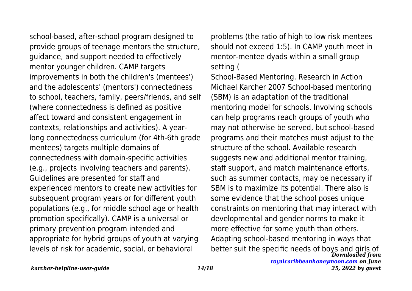school-based, after-school program designed to provide groups of teenage mentors the structure, guidance, and support needed to effectively mentor younger children. CAMP targets improvements in both the children's (mentees') and the adolescents' (mentors') connectedness to school, teachers, family, peers/friends, and self (where connectedness is defined as positive affect toward and consistent engagement in contexts, relationships and activities). A yearlong connectedness curriculum (for 4th-6th grade mentees) targets multiple domains of connectedness with domain-specific activities (e.g., projects involving teachers and parents). Guidelines are presented for staff and experienced mentors to create new activities for subsequent program years or for different youth populations (e.g., for middle school age or health promotion specifically). CAMP is a universal or primary prevention program intended and appropriate for hybrid groups of youth at varying levels of risk for academic, social, or behavioral

problems (the ratio of high to low risk mentees should not exceed 1:5). In CAMP youth meet in mentor-mentee dyads within a small group setting (

*Downloaded from* better suit the specific needs of boys and girls ofSchool-Based Mentoring. Research in Action Michael Karcher 2007 School-based mentoring (SBM) is an adaptation of the traditional mentoring model for schools. Involving schools can help programs reach groups of youth who may not otherwise be served, but school-based programs and their matches must adjust to the structure of the school. Available research suggests new and additional mentor training, staff support, and match maintenance efforts, such as summer contacts, may be necessary if SBM is to maximize its potential. There also is some evidence that the school poses unique constraints on mentoring that may interact with developmental and gender norms to make it more effective for some youth than others. Adapting school-based mentoring in ways that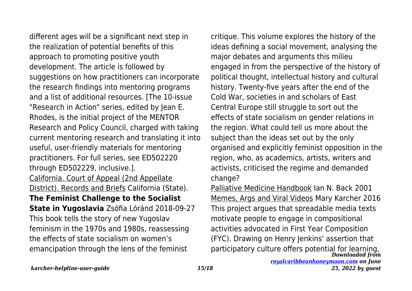different ages will be a significant next step in the realization of potential benefits of this approach to promoting positive youth development. The article is followed by suggestions on how practitioners can incorporate the research findings into mentoring programs and a list of additional resources. [The 10-issue "Research in Action" series, edited by Jean E. Rhodes, is the initial project of the MENTOR Research and Policy Council, charged with taking current mentoring research and translating it into useful, user-friendly materials for mentoring practitioners. For full series, see ED502220 through ED502229, inclusive.]. California. Court of Appeal (2nd Appellate District). Records and Briefs California (State). **The Feminist Challenge to the Socialist State in Yugoslavia** Zsófia Lóránd 2018-09-27 This book tells the story of new Yugoslav feminism in the 1970s and 1980s, reassessing the effects of state socialism on women's emancipation through the lens of the feminist

critique. This volume explores the history of the ideas defining a social movement, analysing the major debates and arguments this milieu engaged in from the perspective of the history of political thought, intellectual history and cultural history. Twenty-five years after the end of the Cold War, societies in and scholars of East Central Europe still struggle to sort out the effects of state socialism on gender relations in the region. What could tell us more about the subject than the ideas set out by the only organised and explicitly feminist opposition in the region, who, as academics, artists, writers and activists, criticised the regime and demanded change?

*Downloaded from* Palliative Medicine Handbook Ian N. Back 2001 Memes, Args and Viral Videos Mary Karcher 2016 This project argues that spreadable media texts motivate people to engage in compositional activities advocated in First Year Composition (FYC). Drawing on Henry Jenkins' assertion that participatory culture offers potential for learning,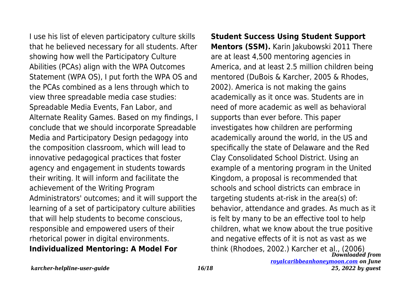I use his list of eleven participatory culture skills that he believed necessary for all students. After showing how well the Participatory Culture Abilities (PCAs) align with the WPA Outcomes Statement (WPA OS), I put forth the WPA OS and the PCAs combined as a lens through which to view three spreadable media case studies: Spreadable Media Events, Fan Labor, and Alternate Reality Games. Based on my findings, I conclude that we should incorporate Spreadable Media and Participatory Design pedagogy into the composition classroom, which will lead to innovative pedagogical practices that foster agency and engagement in students towards their writing. It will inform and facilitate the achievement of the Writing Program Administrators' outcomes; and it will support the learning of a set of participatory culture abilities that will help students to become conscious, responsible and empowered users of their rhetorical power in digital environments. **Individualized Mentoring: A Model For**

*Downloaded from* **Student Success Using Student Support Mentors (SSM).** Karin Jakubowski 2011 There are at least 4,500 mentoring agencies in America, and at least 2.5 million children being mentored (DuBois & Karcher, 2005 & Rhodes, 2002). America is not making the gains academically as it once was. Students are in need of more academic as well as behavioral supports than ever before. This paper investigates how children are performing academically around the world, in the US and specifically the state of Delaware and the Red Clay Consolidated School District. Using an example of a mentoring program in the United Kingdom, a proposal is recommended that schools and school districts can embrace in targeting students at-risk in the area(s) of: behavior, attendance and grades. As much as it is felt by many to be an effective tool to help children, what we know about the true positive and negative effects of it is not as vast as we think (Rhodoes, 2002.) Karcher et al., (2006)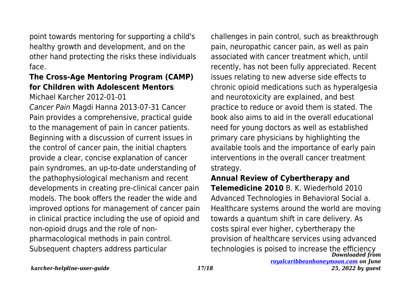point towards mentoring for supporting a child's healthy growth and development, and on the other hand protecting the risks these individuals face.

# **The Cross-Age Mentoring Program (CAMP) for Children with Adolescent Mentors**

Michael Karcher 2012-01-01

Cancer Pain Magdi Hanna 2013-07-31 Cancer Pain provides a comprehensive, practical guide to the management of pain in cancer patients. Beginning with a discussion of current issues in the control of cancer pain, the initial chapters provide a clear, concise explanation of cancer pain syndromes, an up-to-date understanding of the pathophysiological mechanism and recent developments in creating pre-clinical cancer pain models. The book offers the reader the wide and improved options for management of cancer pain in clinical practice including the use of opioid and non-opioid drugs and the role of nonpharmacological methods in pain control. Subsequent chapters address particular

challenges in pain control, such as breakthrough pain, neuropathic cancer pain, as well as pain associated with cancer treatment which, until recently, has not been fully appreciated. Recent issues relating to new adverse side effects to chronic opioid medications such as hyperalgesia and neurotoxicity are explained, and best practice to reduce or avoid them is stated. The book also aims to aid in the overall educational need for young doctors as well as established primary care physicians by highlighting the available tools and the importance of early pain interventions in the overall cancer treatment strategy.

*Downloaded from* technologies is poised to increase the efficiency**Annual Review of Cybertherapy and Telemedicine 2010** B. K. Wiederhold 2010 Advanced Technologies in Behavioral Social a. Healthcare systems around the world are moving towards a quantum shift in care delivery. As costs spiral ever higher, cybertherapy the provision of healthcare services using advanced